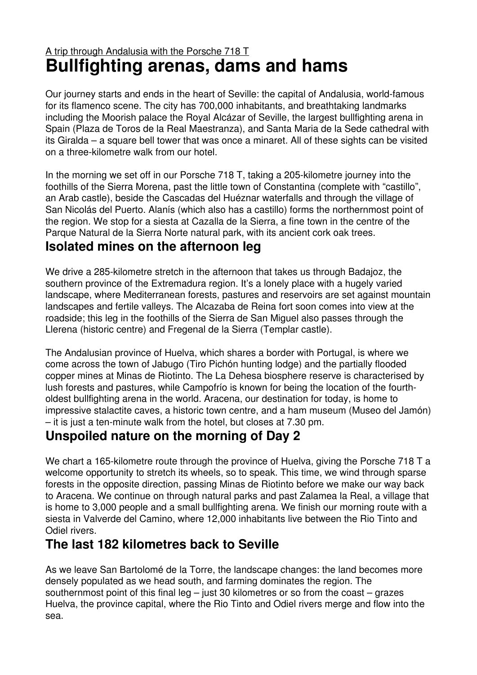## A trip through Andalusia with the Porsche 718 T **Bullfighting arenas, dams and hams**

Our journey starts and ends in the heart of Seville: the capital of Andalusia, world-famous for its flamenco scene. The city has 700,000 inhabitants, and breathtaking landmarks including the Moorish palace the Royal Alcázar of Seville, the largest bullfighting arena in Spain (Plaza de Toros de la Real Maestranza), and Santa Maria de la Sede cathedral with its Giralda – a square bell tower that was once a minaret. All of these sights can be visited on a three-kilometre walk from our hotel.

In the morning we set off in our Porsche 718 T, taking a 205-kilometre journey into the foothills of the Sierra Morena, past the little town of Constantina (complete with "castillo", an Arab castle), beside the Cascadas del Huéznar waterfalls and through the village of San Nicolás del Puerto. Alanís (which also has a castillo) forms the northernmost point of the region. We stop for a siesta at Cazalla de la Sierra, a fine town in the centre of the Parque Natural de la Sierra Norte natural park, with its ancient cork oak trees.

## **Isolated mines on the afternoon leg**

We drive a 285-kilometre stretch in the afternoon that takes us through Badajoz, the southern province of the Extremadura region. It's a lonely place with a hugely varied landscape, where Mediterranean forests, pastures and reservoirs are set against mountain landscapes and fertile valleys. The Alcazaba de Reina fort soon comes into view at the roadside; this leg in the foothills of the Sierra de San Miguel also passes through the Llerena (historic centre) and Fregenal de la Sierra (Templar castle).

The Andalusian province of Huelva, which shares a border with Portugal, is where we come across the town of Jabugo (Tiro Pichón hunting lodge) and the partially flooded copper mines at Minas de Riotinto. The La Dehesa biosphere reserve is characterised by lush forests and pastures, while Campofrío is known for being the location of the fourtholdest bullfighting arena in the world. Aracena, our destination for today, is home to impressive stalactite caves, a historic town centre, and a ham museum (Museo del Jamón) – it is just a ten-minute walk from the hotel, but closes at 7.30 pm.

## **Unspoiled nature on the morning of Day 2**

We chart a 165-kilometre route through the province of Huelva, giving the Porsche 718 T a welcome opportunity to stretch its wheels, so to speak. This time, we wind through sparse forests in the opposite direction, passing Minas de Riotinto before we make our way back to Aracena. We continue on through natural parks and past Zalamea la Real, a village that is home to 3,000 people and a small bullfighting arena. We finish our morning route with a siesta in Valverde del Camino, where 12,000 inhabitants live between the Rio Tinto and Odiel rivers.

## **The last 182 kilometres back to Seville**

As we leave San Bartolomé de la Torre, the landscape changes: the land becomes more densely populated as we head south, and farming dominates the region. The southernmost point of this final leg  $-$  just 30 kilometres or so from the coast  $-$  grazes Huelva, the province capital, where the Rio Tinto and Odiel rivers merge and flow into the sea.